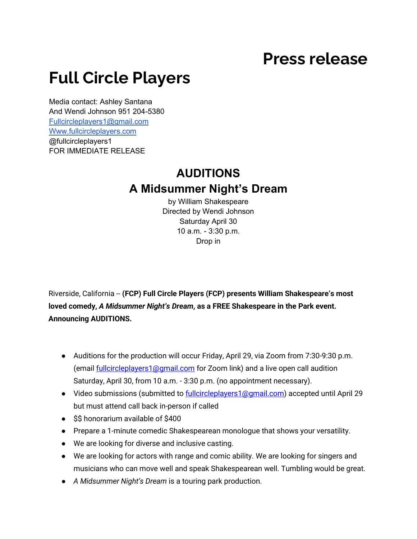## **Press release**

## **Full Circle Players**

Media contact: Ashley Santana And Wendi Johnson 951 204-5380 [Fullcircleplayers1@gmail.com](mailto:Fullcircleplayers1@gmail.com) [Www.fullcircleplayers.com](http://www.fullcircleplayers.com/) @fullcircleplayers1 FOR IMMEDIATE RELEASE

## **AUDITIONS A Midsummer Night's Dream**

by William Shakespeare Directed by Wendi Johnson Saturday April 30 10 a.m. - 3:30 p.m. Drop in

Riverside, California -- **(FCP) Full Circle Players (FCP) presents William Shakespeare's most loved comedy,** *A Midsummer Night's Dream***, as a FREE Shakespeare in the Park event. Announcing AUDITIONS.** 

- Auditions for the production will occur Friday, April 29, via Zoom from 7:30-9:30 p.m. (email [fullcircleplayers1@gmail.com](mailto:fullcircleplayers1@gmail.com) for Zoom link) and a live open call audition Saturday, April 30, from 10 a.m. - 3:30 p.m. (no appointment necessary).
- Video submissions (submitted to [fullcircleplayers1@gmail.com\)](mailto:fullcircleplayers1@gmail.com) accepted until April 29 but must attend call back in-person if called
- \$\$ honorarium available of \$400
- Prepare a 1-minute comedic Shakespearean monologue that shows your versatility.
- We are looking for diverse and inclusive casting.
- We are looking for actors with range and comic ability. We are looking for singers and musicians who can move well and speak Shakespearean well. Tumbling would be great.
- *A Midsummer Night's Dream* is a touring park production.